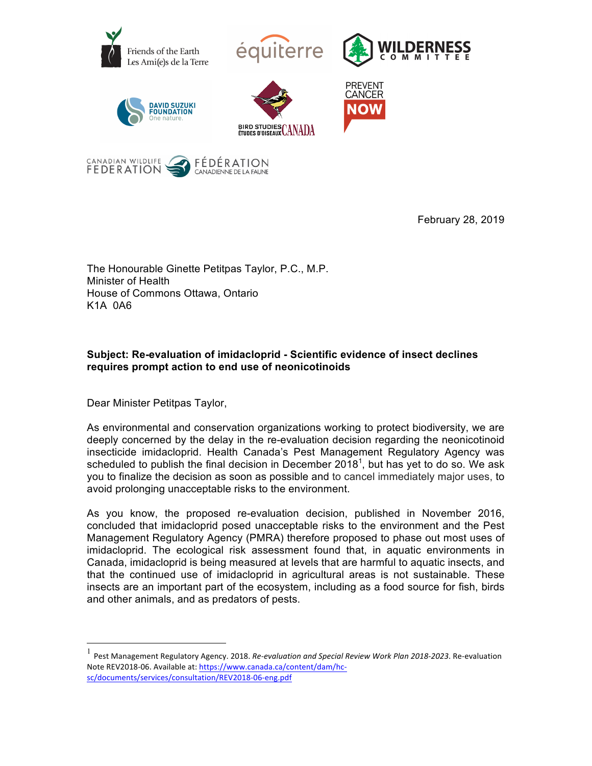



February 28, 2019

The Honourable Ginette Petitpas Taylor, P.C., M.P. Minister of Health House of Commons Ottawa, Ontario K1A 0A6

## **Subject: Re-evaluation of imidacloprid - Scientific evidence of insect declines requires prompt action to end use of neonicotinoids**

Dear Minister Petitpas Taylor,

As environmental and conservation organizations working to protect biodiversity, we are deeply concerned by the delay in the re-evaluation decision regarding the neonicotinoid insecticide imidacloprid. Health Canada's Pest Management Regulatory Agency was scheduled to publish the final decision in December 2018<sup>1</sup>, but has yet to do so. We ask you to finalize the decision as soon as possible and to cancel immediately major uses, to avoid prolonging unacceptable risks to the environment.

As you know, the proposed re-evaluation decision, published in November 2016, concluded that imidacloprid posed unacceptable risks to the environment and the Pest Management Regulatory Agency (PMRA) therefore proposed to phase out most uses of imidacloprid. The ecological risk assessment found that, in aquatic environments in Canada, imidacloprid is being measured at levels that are harmful to aquatic insects, and that the continued use of imidacloprid in agricultural areas is not sustainable. These insects are an important part of the ecosystem, including as a food source for fish, birds and other animals, and as predators of pests.

Pest Management Regulatory Agency. 2018. Re-evaluation and Special Review Work Plan 2018-2023. Re-evaluation Note REV2018-06. Available at: https://www.canada.ca/content/dam/hcsc/documents/services/consultation/REV2018-06-eng.pdf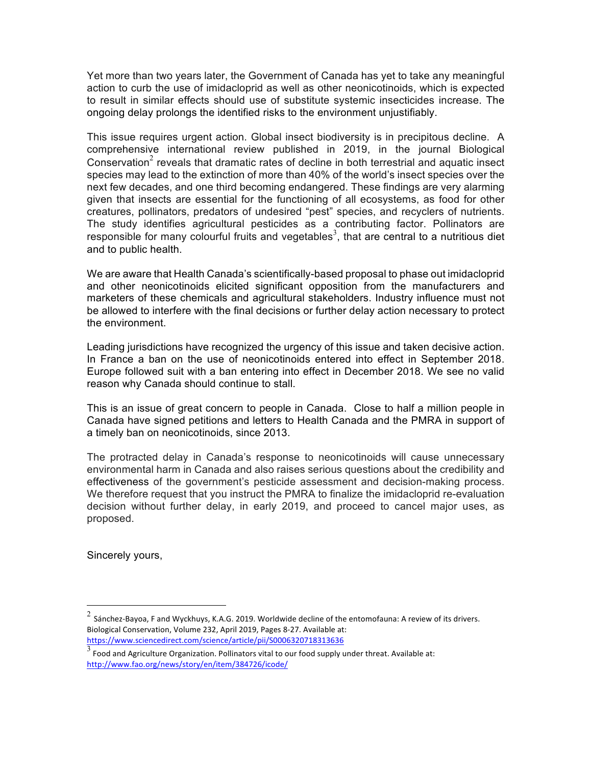Yet more than two years later, the Government of Canada has yet to take any meaningful action to curb the use of imidacloprid as well as other neonicotinoids, which is expected to result in similar effects should use of substitute systemic insecticides increase. The ongoing delay prolongs the identified risks to the environment unjustifiably.

This issue requires urgent action. Global insect biodiversity is in precipitous decline. A comprehensive international review published in 2019, in the journal Biological Conservation<sup>2</sup> reveals that dramatic rates of decline in both terrestrial and aquatic insect species may lead to the extinction of more than 40% of the world's insect species over the next few decades, and one third becoming endangered. These findings are very alarming given that insects are essential for the functioning of all ecosystems, as food for other creatures, pollinators, predators of undesired "pest" species, and recyclers of nutrients. The study identifies agricultural pesticides as a contributing factor. Pollinators are responsible for many colourful fruits and vegetables<sup>3</sup>, that are central to a nutritious diet and to public health.

We are aware that Health Canada's scientifically-based proposal to phase out imidacloprid and other neonicotinoids elicited significant opposition from the manufacturers and marketers of these chemicals and agricultural stakeholders. Industry influence must not be allowed to interfere with the final decisions or further delay action necessary to protect the environment.

Leading jurisdictions have recognized the urgency of this issue and taken decisive action. In France a ban on the use of neonicotinoids entered into effect in September 2018. Europe followed suit with a ban entering into effect in December 2018. We see no valid reason why Canada should continue to stall.

This is an issue of great concern to people in Canada. Close to half a million people in Canada have signed petitions and letters to Health Canada and the PMRA in support of a timely ban on neonicotinoids, since 2013.

The protracted delay in Canada's response to neonicotinoids will cause unnecessary environmental harm in Canada and also raises serious questions about the credibility and effectiveness of the government's pesticide assessment and decision-making process. We therefore request that you instruct the PMRA to finalize the imidacloprid re-evaluation decision without further delay, in early 2019, and proceed to cancel major uses, as proposed.

Sincerely yours,

 $^2$  Sánchez-Bayoa, F and Wyckhuys, K.A.G. 2019. Worldwide decline of the entomofauna: A review of its drivers. Biological Conservation, Volume 232, April 2019, Pages 8-27. Available at: https://www.sciencedirect.com/science/article/pii/S0006320718313636

 $\frac{3}{3}$  Food and Agriculture Organization. Pollinators vital to our food supply under threat. Available at: http://www.fao.org/news/story/en/item/384726/icode/